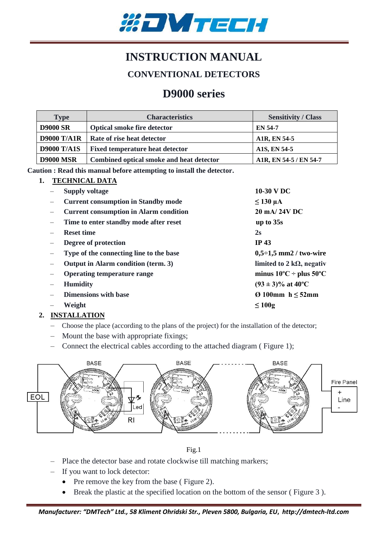

# **INSTRUCTION MANUAL**

### **CONVENTIONAL DETECTORS**

## **D9000 series**

| <b>Type</b>        | <b>Characteristics</b>                   | <b>Sensitivity / Class</b> |
|--------------------|------------------------------------------|----------------------------|
| <b>D9000 SR</b>    | <b>Optical smoke fire detector</b>       | <b>EN 54-7</b>             |
| <b>D9000 T/A1R</b> | Rate of rise heat detector               | A1R, EN 54-5               |
| <b>D9000 T/A1S</b> | <b>Fixed temperature heat detector</b>   | A1S, EN 54-5               |
| <b>D9000 MSR</b>   | Combined optical smoke and heat detector | A1R, EN 54-5 / EN 54-7     |

**Caution : Read this manual before attempting to install the detector.**

#### **1. TECHNICAL DATA**

| <b>Supply voltage</b>                         | 10-30 V DC                          |
|-----------------------------------------------|-------------------------------------|
| <b>Current consumption in Standby mode</b>    | $\leq$ 130 µA                       |
| <b>Current consumption in Alarm condition</b> | 20 mA/24V DC                        |
| Time to enter standby mode after reset        | up to $35s$                         |
| <b>Reset time</b>                             | 2s                                  |
| Degree of protection                          | IP $43$                             |
| Type of the connecting line to the base       | $0,5-1,5$ mm2 / two-wire            |
| Output in Alarm condition (term. 3)           | limited to 2 k $\Omega$ , negativ   |
| <b>Operating temperature range</b>            | minus $10^{\circ}$ C ÷ plus 50°C    |
| <b>Humidity</b>                               | $(93 \pm 3)\%$ at 40 <sup>o</sup> C |
| <b>Dimensions with base</b>                   | $\varnothing$ 100mm h $\leq$ 52mm   |
| Weight                                        | $\leq 100g$                         |
|                                               |                                     |

#### **2. INSTALLATION**

- Choose the place (according to the plans of the project) for the installation of the detector;
- Mount the base with appropriate fixings;
- Connect the electrical cables according to the attached diagram ( Figure 1);





- Place the detector base and rotate clockwise till matching markers;
- If you want to lock detector:
	- Pre remove the key from the base (Figure 2).
	- Break the plastic at the specified location on the bottom of the sensor ( Figure 3 ).